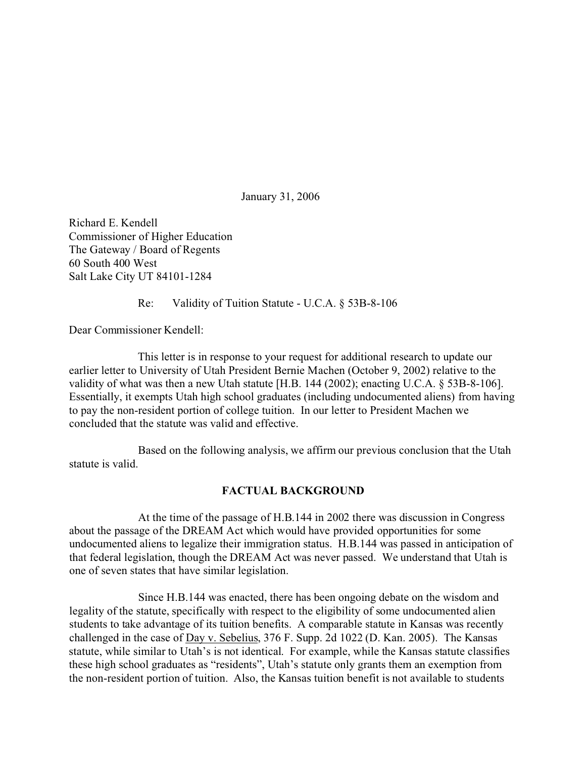January 31, 2006

Richard E. Kendell Commissioner of Higher Education The Gateway / Board of Regents 60 South 400 West Salt Lake City UT 84101-1284

Re: Validity of Tuition Statute - U.C.A. § 53B-8-106

Dear Commissioner Kendell:

This letter is in response to your request for additional research to update our earlier letter to University of Utah President Bernie Machen (October 9, 2002) relative to the validity of what was then a new Utah statute [H.B. 144 (2002); enacting U.C.A. § 53B-8-106]. Essentially, it exempts Utah high school graduates (including undocumented aliens) from having to pay the non-resident portion of college tuition. In our letter to President Machen we concluded that the statute was valid and effective.

Based on the following analysis, we affirm our previous conclusion that the Utah statute is valid.

## **FACTUAL BACKGROUND**

At the time of the passage of H.B.144 in 2002 there was discussion in Congress about the passage of the DREAM Act which would have provided opportunities for some undocumented aliens to legalize their immigration status. H.B.144 was passed in anticipation of that federal legislation, though the DREAM Act was never passed. We understand that Utah is one of seven states that have similar legislation.

Since H.B.144 was enacted, there has been ongoing debate on the wisdom and legality of the statute, specifically with respect to the eligibility of some undocumented alien students to take advantage of its tuition benefits. A comparable statute in Kansas was recently challenged in the case of Day v. Sebelius, 376 F. Supp. 2d 1022 (D. Kan. 2005). The Kansas statute, while similar to Utah's is not identical. For example, while the Kansas statute classifies these high school graduates as "residents", Utah's statute only grants them an exemption from the non-resident portion of tuition. Also, the Kansas tuition benefit is not available to students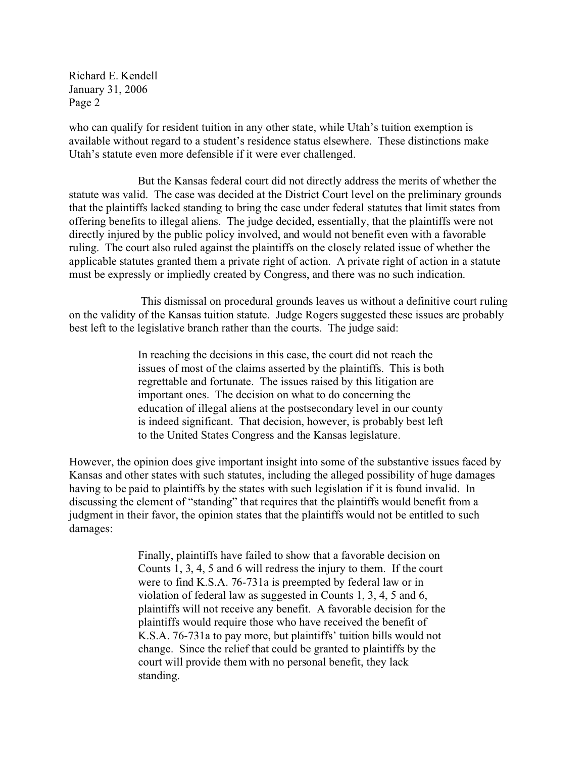who can qualify for resident tuition in any other state, while Utah's tuition exemption is available without regard to a student's residence status elsewhere. These distinctions make Utah's statute even more defensible if it were ever challenged.

But the Kansas federal court did not directly address the merits of whether the statute was valid. The case was decided at the District Court level on the preliminary grounds that the plaintiffs lacked standing to bring the case under federal statutes that limit states from offering benefits to illegal aliens. The judge decided, essentially, that the plaintiffs were not directly injured by the public policy involved, and would not benefit even with a favorable ruling. The court also ruled against the plaintiffs on the closely related issue of whether the applicable statutes granted them a private right of action. A private right of action in a statute must be expressly or impliedly created by Congress, and there was no such indication.

 This dismissal on procedural grounds leaves us without a definitive court ruling on the validity of the Kansas tuition statute. Judge Rogers suggested these issues are probably best left to the legislative branch rather than the courts. The judge said:

> In reaching the decisions in this case, the court did not reach the issues of most of the claims asserted by the plaintiffs. This is both regrettable and fortunate. The issues raised by this litigation are important ones. The decision on what to do concerning the education of illegal aliens at the postsecondary level in our county is indeed significant. That decision, however, is probably best left to the United States Congress and the Kansas legislature.

However, the opinion does give important insight into some of the substantive issues faced by Kansas and other states with such statutes, including the alleged possibility of huge damages having to be paid to plaintiffs by the states with such legislation if it is found invalid. In discussing the element of "standing" that requires that the plaintiffs would benefit from a judgment in their favor, the opinion states that the plaintiffs would not be entitled to such damages:

> Finally, plaintiffs have failed to show that a favorable decision on Counts 1, 3, 4, 5 and 6 will redress the injury to them. If the court were to find K.S.A. 76-731a is preempted by federal law or in violation of federal law as suggested in Counts 1, 3, 4, 5 and 6, plaintiffs will not receive any benefit. A favorable decision for the plaintiffs would require those who have received the benefit of K.S.A. 76-731a to pay more, but plaintiffs' tuition bills would not change. Since the relief that could be granted to plaintiffs by the court will provide them with no personal benefit, they lack standing.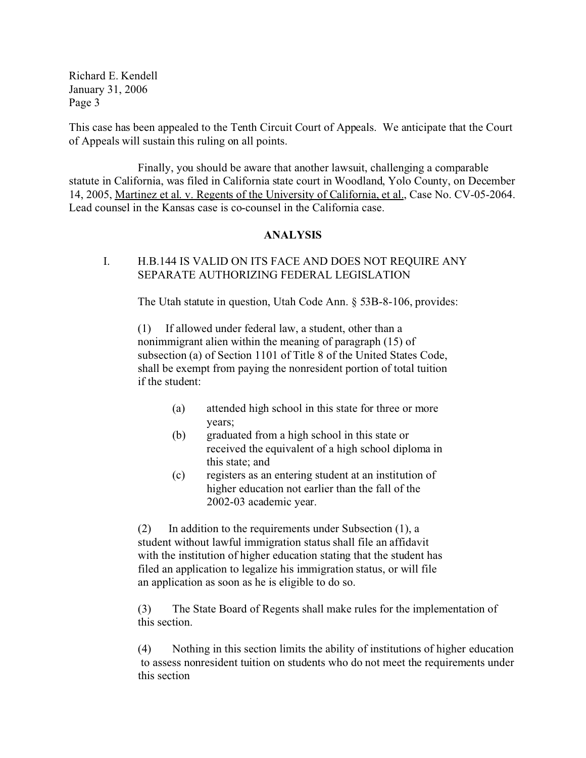This case has been appealed to the Tenth Circuit Court of Appeals. We anticipate that the Court of Appeals will sustain this ruling on all points.

Finally, you should be aware that another lawsuit, challenging a comparable statute in California, was filed in California state court in Woodland, Yolo County, on December 14, 2005, Martinez et al. v. Regents of the University of California, et al., Case No. CV-05-2064. Lead counsel in the Kansas case is co-counsel in the California case.

## **ANALYSIS**

# I. H.B.144 IS VALID ON ITS FACE AND DOES NOT REQUIRE ANY SEPARATE AUTHORIZING FEDERAL LEGISLATION

The Utah statute in question, Utah Code Ann. § 53B-8-106, provides:

(1) If allowed under federal law, a student, other than a nonimmigrant alien within the meaning of paragraph (15) of subsection (a) of Section 1101 of Title 8 of the United States Code, shall be exempt from paying the nonresident portion of total tuition if the student:

- (a) attended high school in this state for three or more years;
- (b) graduated from a high school in this state or received the equivalent of a high school diploma in this state; and
- (c) registers as an entering student at an institution of higher education not earlier than the fall of the 2002-03 academic year.

(2) In addition to the requirements under Subsection (1), a student without lawful immigration status shall file an affidavit with the institution of higher education stating that the student has filed an application to legalize his immigration status, or will file an application as soon as he is eligible to do so.

(3) The State Board of Regents shall make rules for the implementation of this section.

(4) Nothing in this section limits the ability of institutions of higher education to assess nonresident tuition on students who do not meet the requirements under this section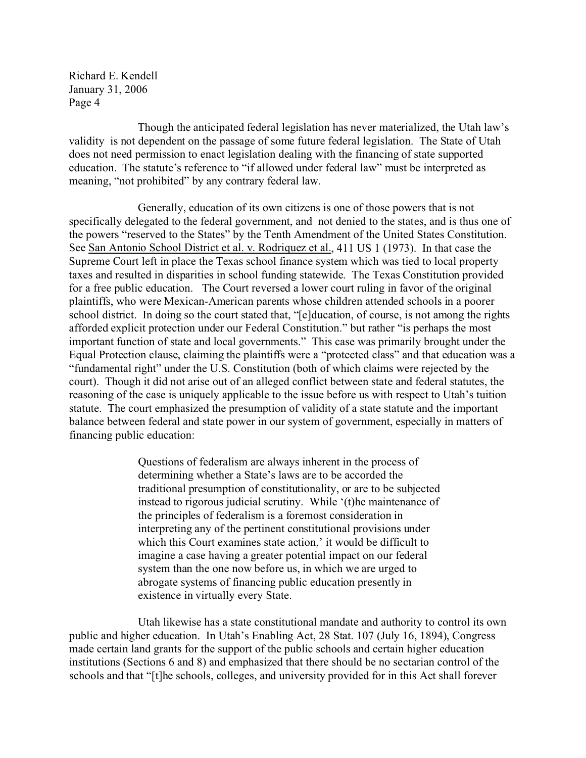Though the anticipated federal legislation has never materialized, the Utah law's validity is not dependent on the passage of some future federal legislation. The State of Utah does not need permission to enact legislation dealing with the financing of state supported education. The statute's reference to "if allowed under federal law" must be interpreted as meaning, "not prohibited" by any contrary federal law.

Generally, education of its own citizens is one of those powers that is not specifically delegated to the federal government, and not denied to the states, and is thus one of the powers "reserved to the States" by the Tenth Amendment of the United States Constitution. See San Antonio School District et al. v. Rodriquez et al., 411 US 1 (1973). In that case the Supreme Court left in place the Texas school finance system which was tied to local property taxes and resulted in disparities in school funding statewide. The Texas Constitution provided for a free public education. The Court reversed a lower court ruling in favor of the original plaintiffs, who were Mexican-American parents whose children attended schools in a poorer school district. In doing so the court stated that, "[e]ducation, of course, is not among the rights afforded explicit protection under our Federal Constitution." but rather "is perhaps the most important function of state and local governments." This case was primarily brought under the Equal Protection clause, claiming the plaintiffs were a "protected class" and that education was a "fundamental right" under the U.S. Constitution (both of which claims were rejected by the court). Though it did not arise out of an alleged conflict between state and federal statutes, the reasoning of the case is uniquely applicable to the issue before us with respect to Utah's tuition statute. The court emphasized the presumption of validity of a state statute and the important balance between federal and state power in our system of government, especially in matters of financing public education:

> Questions of federalism are always inherent in the process of determining whether a State's laws are to be accorded the traditional presumption of constitutionality, or are to be subjected instead to rigorous judicial scrutiny. While '(t)he maintenance of the principles of federalism is a foremost consideration in interpreting any of the pertinent constitutional provisions under which this Court examines state action,' it would be difficult to imagine a case having a greater potential impact on our federal system than the one now before us, in which we are urged to abrogate systems of financing public education presently in existence in virtually every State.

Utah likewise has a state constitutional mandate and authority to control its own public and higher education. In Utah's Enabling Act, 28 Stat. 107 (July 16, 1894), Congress made certain land grants for the support of the public schools and certain higher education institutions (Sections 6 and 8) and emphasized that there should be no sectarian control of the schools and that "[t]he schools, colleges, and university provided for in this Act shall forever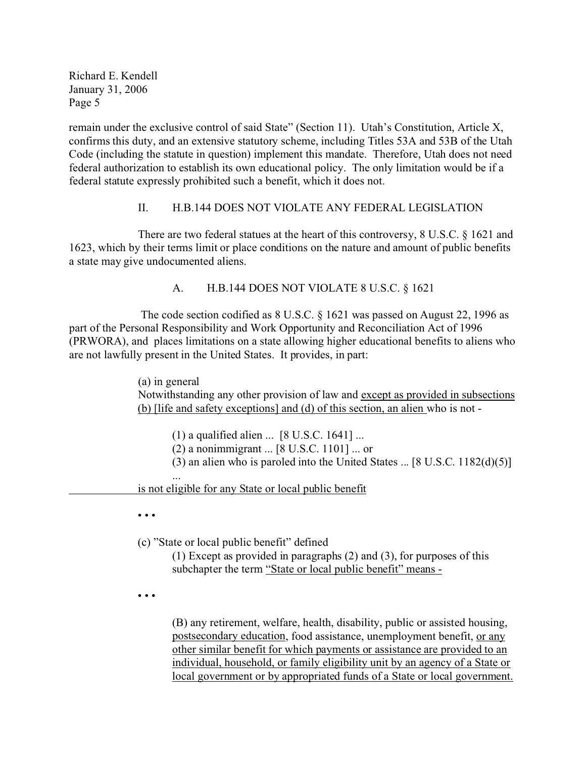remain under the exclusive control of said State" (Section 11). Utah's Constitution, Article X, confirms this duty, and an extensive statutory scheme, including Titles 53A and 53B of the Utah Code (including the statute in question) implement this mandate. Therefore, Utah does not need federal authorization to establish its own educational policy. The only limitation would be if a federal statute expressly prohibited such a benefit, which it does not.

# II. H.B.144 DOES NOT VIOLATE ANY FEDERAL LEGISLATION

There are two federal statues at the heart of this controversy, 8 U.S.C. § 1621 and 1623, which by their terms limit or place conditions on the nature and amount of public benefits a state may give undocumented aliens.

A. H.B.144 DOES NOT VIOLATE 8 U.S.C. § 1621

 The code section codified as 8 U.S.C. § 1621 was passed on August 22, 1996 as part of the Personal Responsibility and Work Opportunity and Reconciliation Act of 1996 (PRWORA), and places limitations on a state allowing higher educational benefits to aliens who are not lawfully present in the United States. It provides, in part:

> (a) in general Notwithstanding any other provision of law and except as provided in subsections (b) [life and safety exceptions] and (d) of this section, an alien who is not -

(1) a qualified alien ... [8 U.S.C. 1641] ...

(2) a nonimmigrant ... [8 U.S.C. 1101] ... or

(3) an alien who is paroled into the United States ... [8 U.S.C. 1182(d)(5)]

... is not eligible for any State or local public benefit

• • •

(c) "State or local public benefit" defined

(1) Except as provided in paragraphs (2) and (3), for purposes of this subchapter the term "State or local public benefit" means -

• • •

(B) any retirement, welfare, health, disability, public or assisted housing, postsecondary education, food assistance, unemployment benefit, or any other similar benefit for which payments or assistance are provided to an individual, household, or family eligibility unit by an agency of a State or local government or by appropriated funds of a State or local government.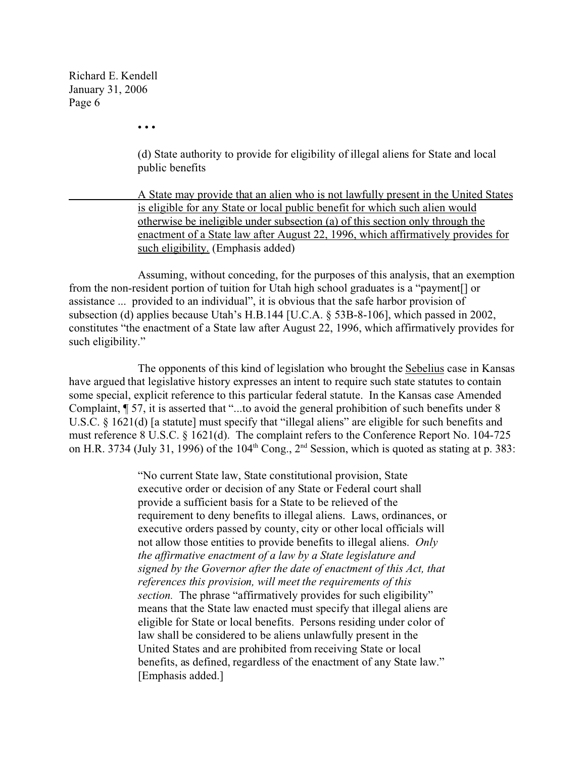• • •

(d) State authority to provide for eligibility of illegal aliens for State and local public benefits

A State may provide that an alien who is not lawfully present in the United States is eligible for any State or local public benefit for which such alien would otherwise be ineligible under subsection (a) of this section only through the enactment of a State law after August 22, 1996, which affirmatively provides for such eligibility. (Emphasis added)

Assuming, without conceding, for the purposes of this analysis, that an exemption from the non-resident portion of tuition for Utah high school graduates is a "payment[] or assistance ... provided to an individual", it is obvious that the safe harbor provision of subsection (d) applies because Utah's H.B.144 [U.C.A. § 53B-8-106], which passed in 2002, constitutes "the enactment of a State law after August 22, 1996, which affirmatively provides for such eligibility."

The opponents of this kind of legislation who brought the Sebelius case in Kansas have argued that legislative history expresses an intent to require such state statutes to contain some special, explicit reference to this particular federal statute. In the Kansas case Amended Complaint, ¶ 57, it is asserted that "...to avoid the general prohibition of such benefits under 8 U.S.C. § 1621(d) [a statute] must specify that "illegal aliens" are eligible for such benefits and must reference 8 U.S.C. § 1621(d). The complaint refers to the Conference Report No. 104-725 on H.R. 3734 (July 31, 1996) of the  $104<sup>th</sup>$  Cong.,  $2<sup>nd</sup>$  Session, which is quoted as stating at p. 383:

> "No current State law, State constitutional provision, State executive order or decision of any State or Federal court shall provide a sufficient basis for a State to be relieved of the requirement to deny benefits to illegal aliens. Laws, ordinances, or executive orders passed by county, city or other local officials will not allow those entities to provide benefits to illegal aliens. *Only the affirmative enactment of a law by a State legislature and signed by the Governor after the date of enactment of this Act, that references this provision, will meet the requirements of this section.* The phrase "affirmatively provides for such eligibility" means that the State law enacted must specify that illegal aliens are eligible for State or local benefits. Persons residing under color of law shall be considered to be aliens unlawfully present in the United States and are prohibited from receiving State or local benefits, as defined, regardless of the enactment of any State law." [Emphasis added.]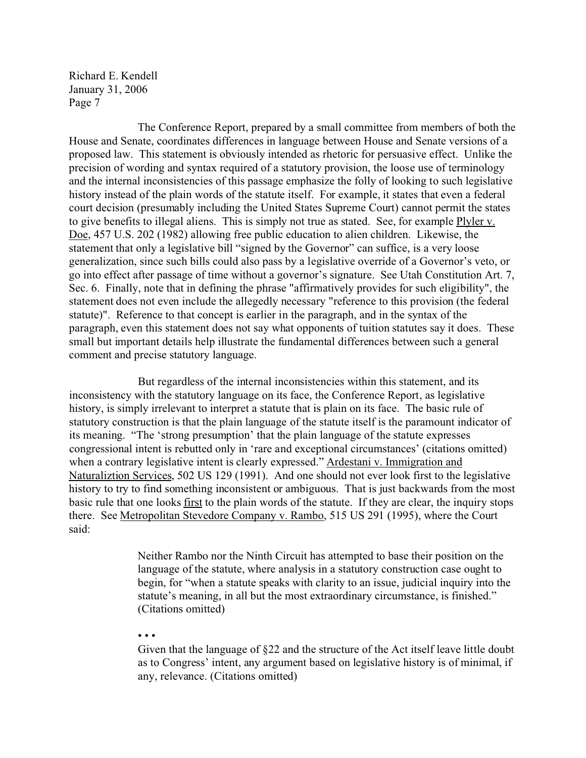The Conference Report, prepared by a small committee from members of both the House and Senate, coordinates differences in language between House and Senate versions of a proposed law. This statement is obviously intended as rhetoric for persuasive effect. Unlike the precision of wording and syntax required of a statutory provision, the loose use of terminology and the internal inconsistencies of this passage emphasize the folly of looking to such legislative history instead of the plain words of the statute itself. For example, it states that even a federal court decision (presumably including the United States Supreme Court) cannot permit the states to give benefits to illegal aliens. This is simply not true as stated. See, for example Plyler v. Doe, 457 U.S. 202 (1982) allowing free public education to alien children. Likewise, the statement that only a legislative bill "signed by the Governor" can suffice, is a very loose generalization, since such bills could also pass by a legislative override of a Governor's veto, or go into effect after passage of time without a governor's signature. See Utah Constitution Art. 7, Sec. 6. Finally, note that in defining the phrase "affirmatively provides for such eligibility", the statement does not even include the allegedly necessary "reference to this provision (the federal statute)". Reference to that concept is earlier in the paragraph, and in the syntax of the paragraph, even this statement does not say what opponents of tuition statutes say it does. These small but important details help illustrate the fundamental differences between such a general comment and precise statutory language.

But regardless of the internal inconsistencies within this statement, and its inconsistency with the statutory language on its face, the Conference Report, as legislative history, is simply irrelevant to interpret a statute that is plain on its face. The basic rule of statutory construction is that the plain language of the statute itself is the paramount indicator of its meaning. "The 'strong presumption' that the plain language of the statute expresses congressional intent is rebutted only in 'rare and exceptional circumstances' (citations omitted) when a contrary legislative intent is clearly expressed." Ardestani v. Immigration and Naturaliztion Services, 502 US 129 (1991). And one should not ever look first to the legislative history to try to find something inconsistent or ambiguous. That is just backwards from the most basic rule that one looks first to the plain words of the statute. If they are clear, the inquiry stops there. See Metropolitan Stevedore Company v. Rambo, 515 US 291 (1995), where the Court said:

> Neither Rambo nor the Ninth Circuit has attempted to base their position on the language of the statute, where analysis in a statutory construction case ought to begin, for "when a statute speaks with clarity to an issue, judicial inquiry into the statute's meaning, in all but the most extraordinary circumstance, is finished." (Citations omitted)

• • •

Given that the language of §22 and the structure of the Act itself leave little doubt as to Congress' intent, any argument based on legislative history is of minimal, if any, relevance. (Citations omitted)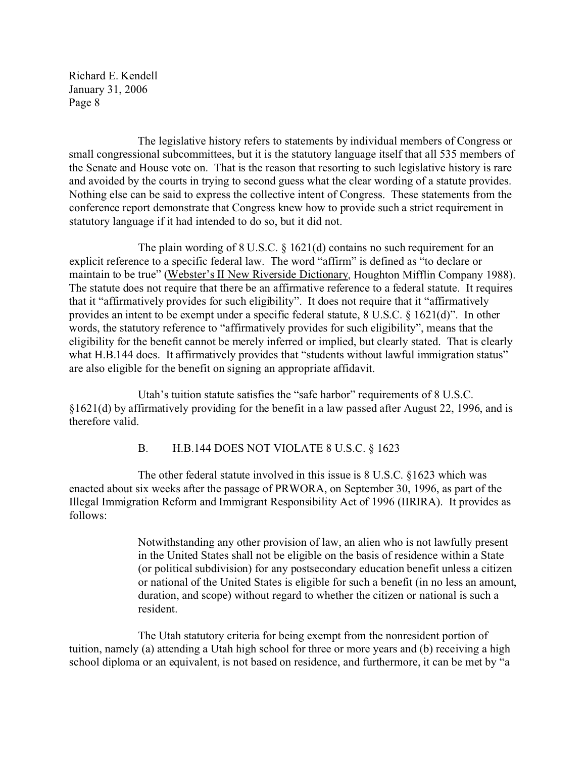The legislative history refers to statements by individual members of Congress or small congressional subcommittees, but it is the statutory language itself that all 535 members of the Senate and House vote on. That is the reason that resorting to such legislative history is rare and avoided by the courts in trying to second guess what the clear wording of a statute provides. Nothing else can be said to express the collective intent of Congress. These statements from the conference report demonstrate that Congress knew how to provide such a strict requirement in statutory language if it had intended to do so, but it did not.

The plain wording of 8 U.S.C. § 1621(d) contains no such requirement for an explicit reference to a specific federal law. The word "affirm" is defined as "to declare or maintain to be true" (Webster's II New Riverside Dictionary, Houghton Mifflin Company 1988). The statute does not require that there be an affirmative reference to a federal statute. It requires that it "affirmatively provides for such eligibility". It does not require that it "affirmatively provides an intent to be exempt under a specific federal statute, 8 U.S.C. § 1621(d)". In other words, the statutory reference to "affirmatively provides for such eligibility", means that the eligibility for the benefit cannot be merely inferred or implied, but clearly stated. That is clearly what H.B.144 does. It affirmatively provides that "students without lawful immigration status" are also eligible for the benefit on signing an appropriate affidavit.

Utah's tuition statute satisfies the "safe harbor" requirements of 8 U.S.C. §1621(d) by affirmatively providing for the benefit in a law passed after August 22, 1996, and is therefore valid.

## B. H.B.144 DOES NOT VIOLATE 8 U.S.C. § 1623

The other federal statute involved in this issue is 8 U.S.C. §1623 which was enacted about six weeks after the passage of PRWORA, on September 30, 1996, as part of the Illegal Immigration Reform and Immigrant Responsibility Act of 1996 (IIRIRA). It provides as follows:

> Notwithstanding any other provision of law, an alien who is not lawfully present in the United States shall not be eligible on the basis of residence within a State (or political subdivision) for any postsecondary education benefit unless a citizen or national of the United States is eligible for such a benefit (in no less an amount, duration, and scope) without regard to whether the citizen or national is such a resident.

The Utah statutory criteria for being exempt from the nonresident portion of tuition, namely (a) attending a Utah high school for three or more years and (b) receiving a high school diploma or an equivalent, is not based on residence, and furthermore, it can be met by "a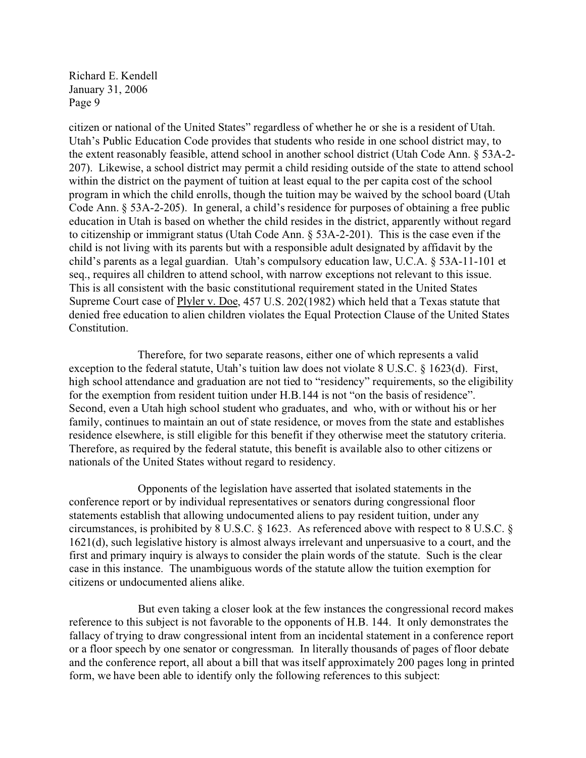citizen or national of the United States" regardless of whether he or she is a resident of Utah. Utah's Public Education Code provides that students who reside in one school district may, to the extent reasonably feasible, attend school in another school district (Utah Code Ann. § 53A-2- 207). Likewise, a school district may permit a child residing outside of the state to attend school within the district on the payment of tuition at least equal to the per capita cost of the school program in which the child enrolls, though the tuition may be waived by the school board (Utah Code Ann. § 53A-2-205). In general, a child's residence for purposes of obtaining a free public education in Utah is based on whether the child resides in the district, apparently without regard to citizenship or immigrant status (Utah Code Ann. § 53A-2-201). This is the case even if the child is not living with its parents but with a responsible adult designated by affidavit by the child's parents as a legal guardian. Utah's compulsory education law, U.C.A. § 53A-11-101 et seq., requires all children to attend school, with narrow exceptions not relevant to this issue. This is all consistent with the basic constitutional requirement stated in the United States Supreme Court case of Plyler v. Doe, 457 U.S. 202(1982) which held that a Texas statute that denied free education to alien children violates the Equal Protection Clause of the United States Constitution.

Therefore, for two separate reasons, either one of which represents a valid exception to the federal statute, Utah's tuition law does not violate 8 U.S.C. § 1623(d). First, high school attendance and graduation are not tied to "residency" requirements, so the eligibility for the exemption from resident tuition under H.B.144 is not "on the basis of residence". Second, even a Utah high school student who graduates, and who, with or without his or her family, continues to maintain an out of state residence, or moves from the state and establishes residence elsewhere, is still eligible for this benefit if they otherwise meet the statutory criteria. Therefore, as required by the federal statute, this benefit is available also to other citizens or nationals of the United States without regard to residency.

Opponents of the legislation have asserted that isolated statements in the conference report or by individual representatives or senators during congressional floor statements establish that allowing undocumented aliens to pay resident tuition, under any circumstances, is prohibited by 8 U.S.C. § 1623. As referenced above with respect to 8 U.S.C. § 1621(d), such legislative history is almost always irrelevant and unpersuasive to a court, and the first and primary inquiry is always to consider the plain words of the statute. Such is the clear case in this instance. The unambiguous words of the statute allow the tuition exemption for citizens or undocumented aliens alike.

But even taking a closer look at the few instances the congressional record makes reference to this subject is not favorable to the opponents of H.B. 144. It only demonstrates the fallacy of trying to draw congressional intent from an incidental statement in a conference report or a floor speech by one senator or congressman. In literally thousands of pages of floor debate and the conference report, all about a bill that was itself approximately 200 pages long in printed form, we have been able to identify only the following references to this subject: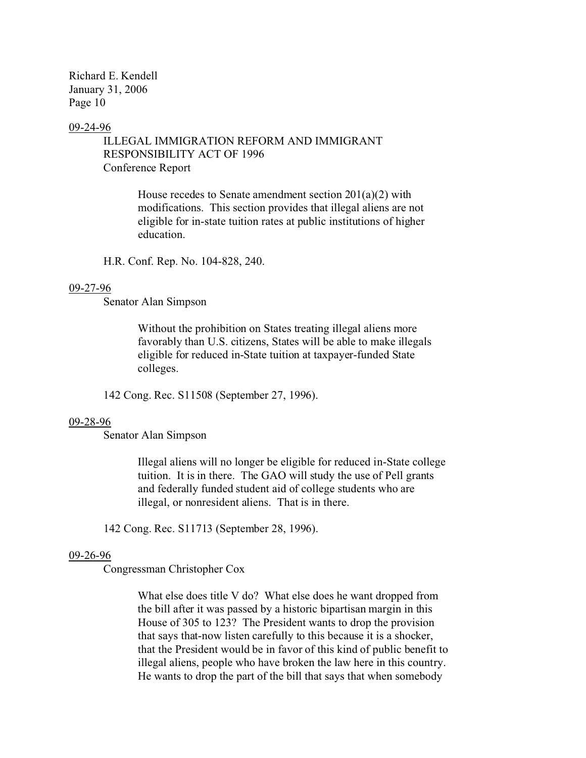#### 09-24-96

# ILLEGAL IMMIGRATION REFORM AND IMMIGRANT RESPONSIBILITY ACT OF 1996 Conference Report

House recedes to Senate amendment section 201(a)(2) with modifications. This section provides that illegal aliens are not eligible for in-state tuition rates at public institutions of higher education.

H.R. Conf. Rep. No. 104-828, 240.

#### 09-27-96

Senator Alan Simpson

Without the prohibition on States treating illegal aliens more favorably than U.S. citizens, States will be able to make illegals eligible for reduced in-State tuition at taxpayer-funded State colleges.

142 Cong. Rec. S11508 (September 27, 1996).

#### 09-28-96

Senator Alan Simpson

Illegal aliens will no longer be eligible for reduced in-State college tuition. It is in there. The GAO will study the use of Pell grants and federally funded student aid of college students who are illegal, or nonresident aliens. That is in there.

142 Cong. Rec. S11713 (September 28, 1996).

#### 09-26-96

Congressman Christopher Cox

What else does title V do? What else does he want dropped from the bill after it was passed by a historic bipartisan margin in this House of 305 to 123? The President wants to drop the provision that says that-now listen carefully to this because it is a shocker, that the President would be in favor of this kind of public benefit to illegal aliens, people who have broken the law here in this country. He wants to drop the part of the bill that says that when somebody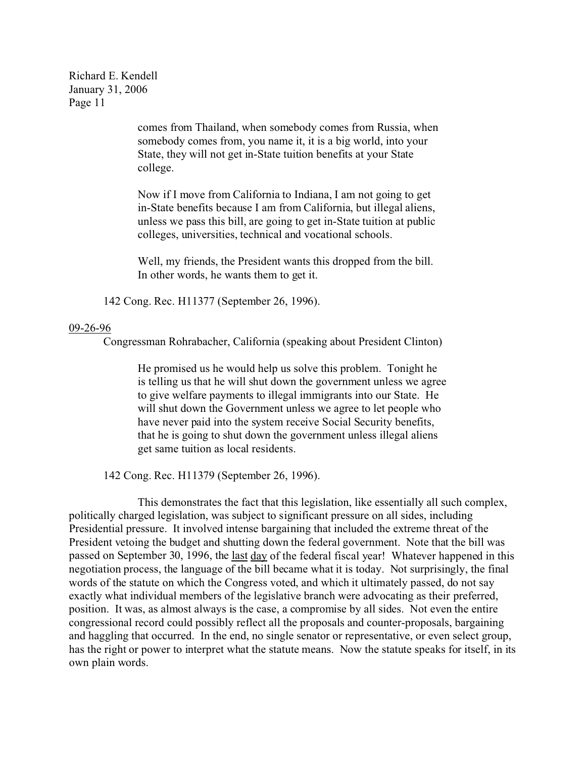> comes from Thailand, when somebody comes from Russia, when somebody comes from, you name it, it is a big world, into your State, they will not get in-State tuition benefits at your State college.

Now if I move from California to Indiana, I am not going to get in-State benefits because I am from California, but illegal aliens, unless we pass this bill, are going to get in-State tuition at public colleges, universities, technical and vocational schools.

Well, my friends, the President wants this dropped from the bill. In other words, he wants them to get it.

142 Cong. Rec. H11377 (September 26, 1996).

#### 09-26-96

Congressman Rohrabacher, California (speaking about President Clinton)

He promised us he would help us solve this problem. Tonight he is telling us that he will shut down the government unless we agree to give welfare payments to illegal immigrants into our State. He will shut down the Government unless we agree to let people who have never paid into the system receive Social Security benefits, that he is going to shut down the government unless illegal aliens get same tuition as local residents.

142 Cong. Rec. H11379 (September 26, 1996).

This demonstrates the fact that this legislation, like essentially all such complex, politically charged legislation, was subject to significant pressure on all sides, including Presidential pressure. It involved intense bargaining that included the extreme threat of the President vetoing the budget and shutting down the federal government. Note that the bill was passed on September 30, 1996, the last day of the federal fiscal year! Whatever happened in this negotiation process, the language of the bill became what it is today. Not surprisingly, the final words of the statute on which the Congress voted, and which it ultimately passed, do not say exactly what individual members of the legislative branch were advocating as their preferred, position. It was, as almost always is the case, a compromise by all sides. Not even the entire congressional record could possibly reflect all the proposals and counter-proposals, bargaining and haggling that occurred. In the end, no single senator or representative, or even select group, has the right or power to interpret what the statute means. Now the statute speaks for itself, in its own plain words.